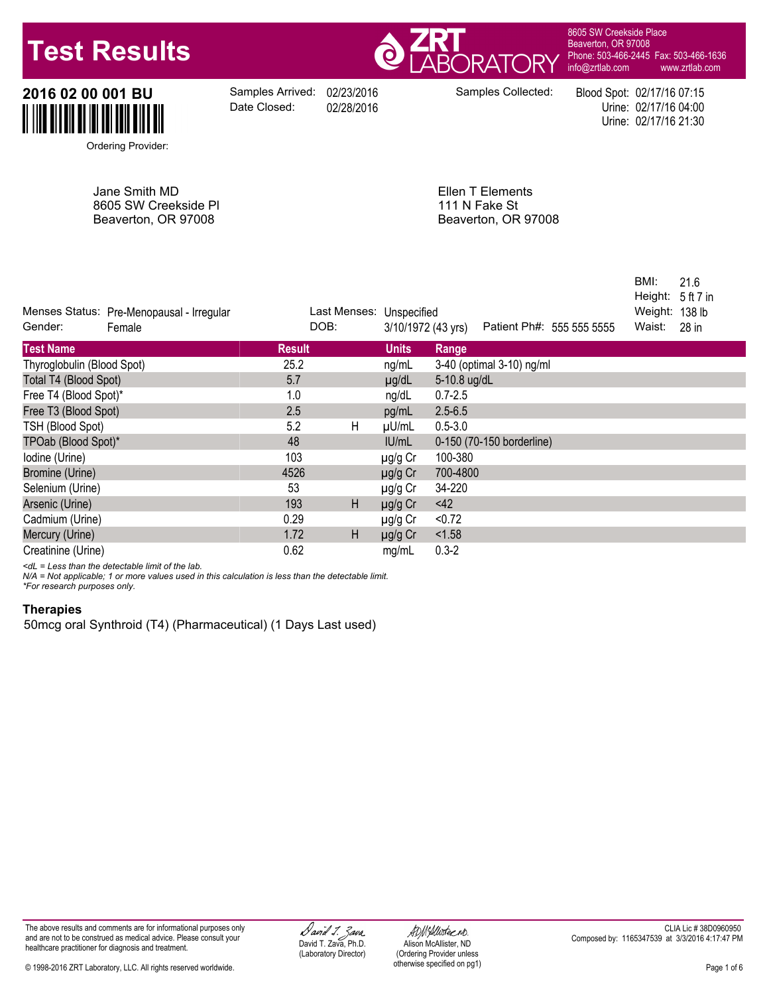# **Test Results**



8605 SW Creekside Place Beaverton, OR 97008 Phone: 503-466-2445 Fax: 503-466-1636 [info@zrtlab.com](mailto:info@zrtlab.com) [www.zrtlab.com](http://www.zrtlab.com)

**2016 02 00 001 BU** Samples Arrived: 02/23/2016 Samples Collected: Blood Spot: 02/17/16 07:15<br>Date Closed: 02/28/2016 Date Closed: 02/28/2016 Date Closed: 02/17/16 04:00<br>Urine: 02/17/16 21:30

Date Closed:

Urine: 02/17/16 04:00 Urine: 02/17/16 21:30

Ordering Provider:

Jane Smith MD 8605 SW Creekside Pl Beaverton, OR 97008

Ellen T Elements 111 N Fake St Beaverton, OR 97008

| Menses Status: Pre-Menopausal - Irregular<br>Gender:<br>Female | DOB:          |   | Last Menses: Unspecified<br>3/10/1972 (43 yrs) | Patient Ph#: 555 555 5555 | BMI:<br>21.6<br>Height:<br>5 ft 7 in<br>138 lb<br>Weight:<br>Waist:<br>28 in |
|----------------------------------------------------------------|---------------|---|------------------------------------------------|---------------------------|------------------------------------------------------------------------------|
| <b>Test Name</b>                                               | <b>Result</b> |   | <b>Units</b>                                   | Range                     |                                                                              |
| Thyroglobulin (Blood Spot)                                     | 25.2          |   | ng/mL                                          | 3-40 (optimal 3-10) ng/ml |                                                                              |
| Total T4 (Blood Spot)                                          | 5.7           |   | $\mu$ g/dL                                     | 5-10.8 ug/dL              |                                                                              |
| Free T4 (Blood Spot)*                                          | 1.0           |   | ng/dL                                          | $0.7 - 2.5$               |                                                                              |
| Free T3 (Blood Spot)                                           | 2.5           |   | pg/mL                                          | $2.5 - 6.5$               |                                                                              |
| TSH (Blood Spot)                                               | 5.2           | H | µU/mL                                          | $0.5 - 3.0$               |                                                                              |
| TPOab (Blood Spot)*                                            | 48            |   | IU/mL                                          | 0-150 (70-150 borderline) |                                                                              |
| Iodine (Urine)                                                 | 103           |   | µg/g Cr                                        | 100-380                   |                                                                              |
| Bromine (Urine)                                                | 4526          |   | µg/g Cr                                        | 700-4800                  |                                                                              |
| Selenium (Urine)                                               | 53            |   | µg/g Cr                                        | 34-220                    |                                                                              |
| Arsenic (Urine)                                                | 193           | H | µg/g Cr                                        | 42                        |                                                                              |
| Cadmium (Urine)                                                | 0.29          |   | µg/g Cr                                        | < 0.72                    |                                                                              |
| Mercury (Urine)                                                | 1.72          | H | $\mu$ g/g Cr                                   | < 1.58                    |                                                                              |
| Creatinine (Urine)                                             | 0.62          |   | mg/mL                                          | $0.3 - 2$                 |                                                                              |
|                                                                |               |   |                                                |                           |                                                                              |

*<dL = Less than the detectable limit of the lab.*

*N/A = Not applicable; 1 or more values used in this calculation is less than the detectable limit. \*For research purposes only.*

## **Therapies**

50mcg oral Synthroid (T4) (Pharmaceutical) (1 Days Last used)

© 1998-2016 ZRT Laboratory, LLC. All rights reserved worldwide.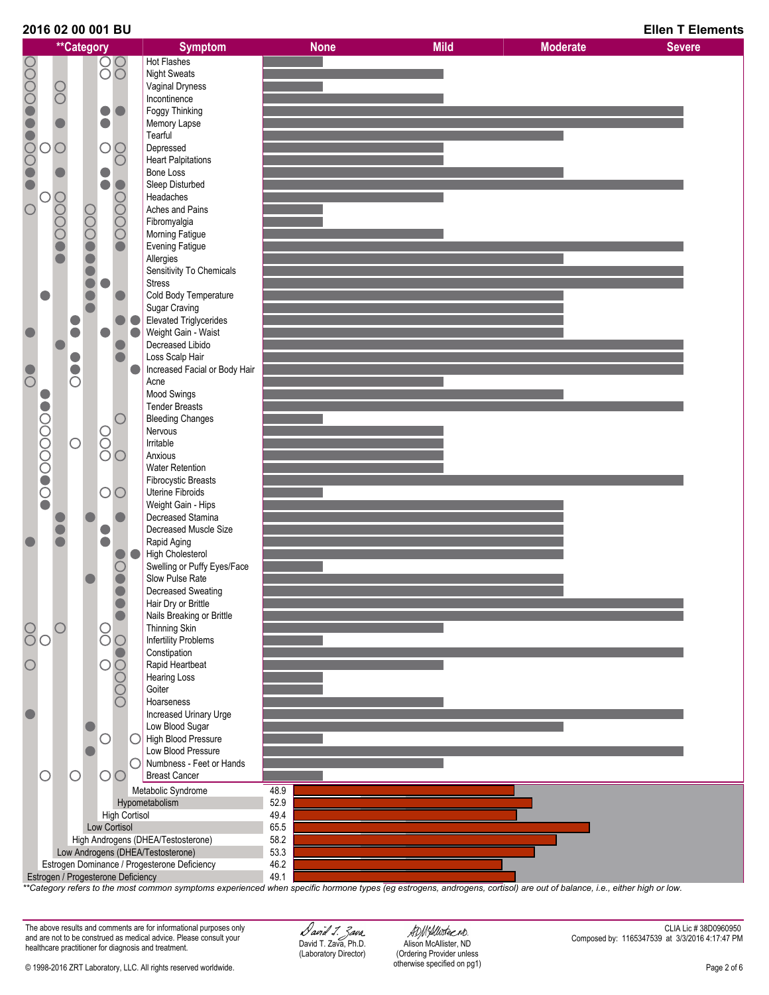



*\*\*Category refers to the most common symptoms experienced when specific hormone types (eg estrogens, androgens, cortisol) are out of balance, i.e., either high or low.*

The above results and comments are for informational purposes only and are not to be construed as medical advice. Please consult your healthcare practitioner for diagnosis and treatment.

David T. Zava, Ph.D. (Laboratory Director)

ADMAlluster ND. Alison McAllister, ND (Ordering Provider unless otherwise specified on pg1)

CLIA Lic # 38D0960950 Composed by: 1165347539 at 3/3/2016 4:17:47 PM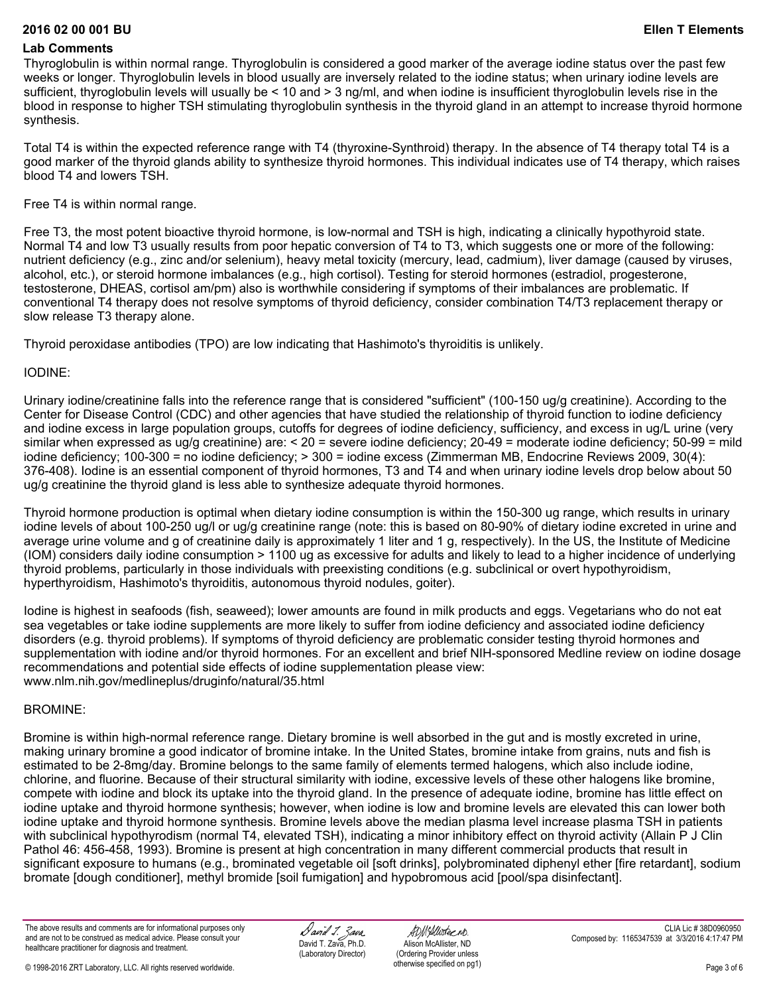#### **2016 02 00 001 BU Ellen T Elements**

#### **Lab Comments**

Thyroglobulin is within normal range. Thyroglobulin is considered a good marker of the average iodine status over the past few weeks or longer. Thyroglobulin levels in blood usually are inversely related to the iodine status; when urinary iodine levels are sufficient, thyroglobulin levels will usually be < 10 and > 3 ng/ml, and when iodine is insufficient thyroglobulin levels rise in the blood in response to higher TSH stimulating thyroglobulin synthesis in the thyroid gland in an attempt to increase thyroid hormone synthesis.

Total T4 is within the expected reference range with T4 (thyroxine-Synthroid) therapy. In the absence of T4 therapy total T4 is a good marker of the thyroid glands ability to synthesize thyroid hormones. This individual indicates use of T4 therapy, which raises blood T4 and lowers TSH.

Free T4 is within normal range.

Free T3, the most potent bioactive thyroid hormone, is low-normal and TSH is high, indicating a clinically hypothyroid state. Normal T4 and low T3 usually results from poor hepatic conversion of T4 to T3, which suggests one or more of the following: nutrient deficiency (e.g., zinc and/or selenium), heavy metal toxicity (mercury, lead, cadmium), liver damage (caused by viruses, alcohol, etc.), or steroid hormone imbalances (e.g., high cortisol). Testing for steroid hormones (estradiol, progesterone, testosterone, DHEAS, cortisol am/pm) also is worthwhile considering if symptoms of their imbalances are problematic. If conventional T4 therapy does not resolve symptoms of thyroid deficiency, consider combination T4/T3 replacement therapy or slow release T3 therapy alone.

Thyroid peroxidase antibodies (TPO) are low indicating that Hashimoto's thyroiditis is unlikely.

#### IODINE:

Urinary iodine/creatinine falls into the reference range that is considered "sufficient" (100-150 ug/g creatinine). According to the Center for Disease Control (CDC) and other agencies that have studied the relationship of thyroid function to iodine deficiency and iodine excess in large population groups, cutoffs for degrees of iodine deficiency, sufficiency, and excess in ug/L urine (very similar when expressed as ug/g creatinine) are: < 20 = severe iodine deficiency; 20-49 = moderate iodine deficiency; 50-99 = mild iodine deficiency; 100-300 = no iodine deficiency; > 300 = iodine excess (Zimmerman MB, Endocrine Reviews 2009, 30(4): 376-408). Iodine is an essential component of thyroid hormones, T3 and T4 and when urinary iodine levels drop below about 50 ug/g creatinine the thyroid gland is less able to synthesize adequate thyroid hormones.

Thyroid hormone production is optimal when dietary iodine consumption is within the 150-300 ug range, which results in urinary iodine levels of about 100-250 ug/l or ug/g creatinine range (note: this is based on 80-90% of dietary iodine excreted in urine and average urine volume and g of creatinine daily is approximately 1 liter and 1 g, respectively). In the US, the Institute of Medicine (IOM) considers daily iodine consumption > 1100 ug as excessive for adults and likely to lead to a higher incidence of underlying thyroid problems, particularly in those individuals with preexisting conditions (e.g. subclinical or overt hypothyroidism, hyperthyroidism, Hashimoto's thyroiditis, autonomous thyroid nodules, goiter).

Iodine is highest in seafoods (fish, seaweed); lower amounts are found in milk products and eggs. Vegetarians who do not eat sea vegetables or take iodine supplements are more likely to suffer from iodine deficiency and associated iodine deficiency disorders (e.g. thyroid problems). If symptoms of thyroid deficiency are problematic consider testing thyroid hormones and supplementation with iodine and/or thyroid hormones. For an excellent and brief NIH-sponsored Medline review on iodine dosage recommendations and potential side effects of iodine supplementation please view: www.nlm.nih.gov/medlineplus/druginfo/natural/35.html

## BROMINE:

Bromine is within high-normal reference range. Dietary bromine is well absorbed in the gut and is mostly excreted in urine, making urinary bromine a good indicator of bromine intake. In the United States, bromine intake from grains, nuts and fish is estimated to be 2-8mg/day. Bromine belongs to the same family of elements termed halogens, which also include iodine, chlorine, and fluorine. Because of their structural similarity with iodine, excessive levels of these other halogens like bromine, compete with iodine and block its uptake into the thyroid gland. In the presence of adequate iodine, bromine has little effect on iodine uptake and thyroid hormone synthesis; however, when iodine is low and bromine levels are elevated this can lower both iodine uptake and thyroid hormone synthesis. Bromine levels above the median plasma level increase plasma TSH in patients with subclinical hypothyrodism (normal T4, elevated TSH), indicating a minor inhibitory effect on thyroid activity (Allain P J Clin Pathol 46: 456-458, 1993). Bromine is present at high concentration in many different commercial products that result in significant exposure to humans (e.g., brominated vegetable oil [soft drinks], polybrominated diphenyl ether [fire retardant], sodium bromate [dough conditioner], methyl bromide [soil fumigation] and hypobromous acid [pool/spa disinfectant].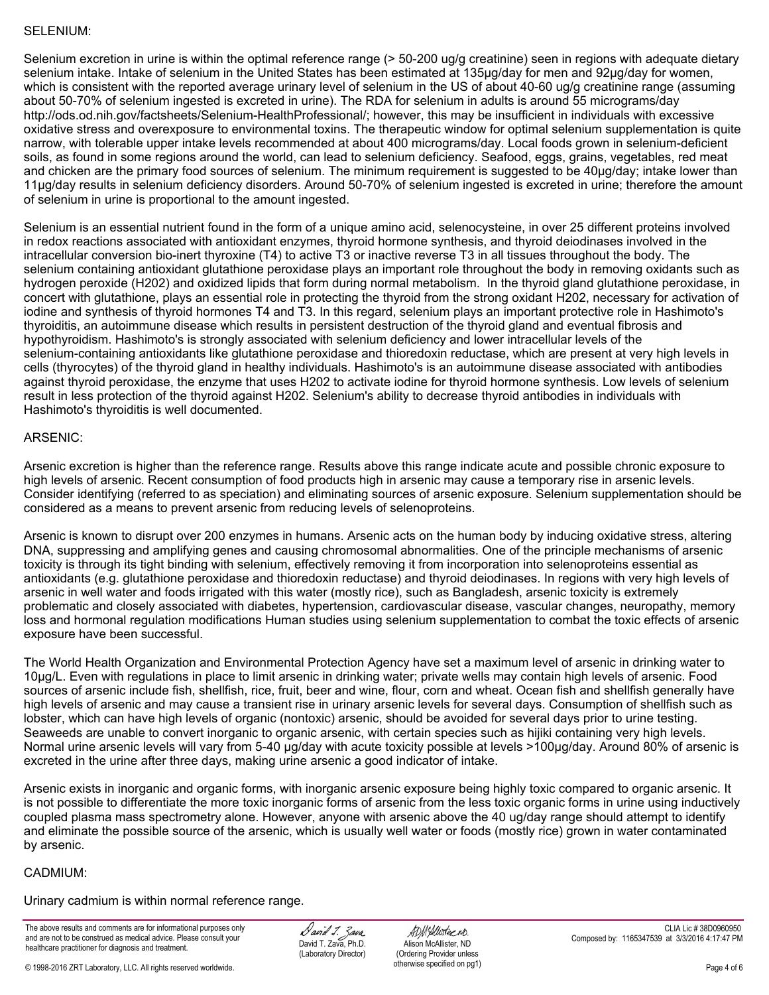# SELENIUM:

Selenium excretion in urine is within the optimal reference range (> 50-200 ug/g creatinine) seen in regions with adequate dietary selenium intake. Intake of selenium in the United States has been estimated at 135µg/day for men and 92µg/day for women, which is consistent with the reported average urinary level of selenium in the US of about 40-60 ug/g creatinine range (assuming about 50-70% of selenium ingested is excreted in urine). The RDA for selenium in adults is around 55 micrograms/day http://ods.od.nih.gov/factsheets/Selenium-HealthProfessional/; however, this may be insufficient in individuals with excessive oxidative stress and overexposure to environmental toxins. The therapeutic window for optimal selenium supplementation is quite narrow, with tolerable upper intake levels recommended at about 400 micrograms/day. Local foods grown in selenium-deficient soils, as found in some regions around the world, can lead to selenium deficiency. Seafood, eggs, grains, vegetables, red meat and chicken are the primary food sources of selenium. The minimum requirement is suggested to be 40µg/day; intake lower than 11µg/day results in selenium deficiency disorders. Around 50-70% of selenium ingested is excreted in urine; therefore the amount of selenium in urine is proportional to the amount ingested.

Selenium is an essential nutrient found in the form of a unique amino acid, selenocysteine, in over 25 different proteins involved in redox reactions associated with antioxidant enzymes, thyroid hormone synthesis, and thyroid deiodinases involved in the intracellular conversion bio-inert thyroxine (T4) to active T3 or inactive reverse T3 in all tissues throughout the body. The selenium containing antioxidant glutathione peroxidase plays an important role throughout the body in removing oxidants such as hydrogen peroxide (H202) and oxidized lipids that form during normal metabolism. In the thyroid gland glutathione peroxidase, in concert with glutathione, plays an essential role in protecting the thyroid from the strong oxidant H202, necessary for activation of iodine and synthesis of thyroid hormones T4 and T3. In this regard, selenium plays an important protective role in Hashimoto's thyroiditis, an autoimmune disease which results in persistent destruction of the thyroid gland and eventual fibrosis and hypothyroidism. Hashimoto's is strongly associated with selenium deficiency and lower intracellular levels of the selenium-containing antioxidants like glutathione peroxidase and thioredoxin reductase, which are present at very high levels in cells (thyrocytes) of the thyroid gland in healthy individuals. Hashimoto's is an autoimmune disease associated with antibodies against thyroid peroxidase, the enzyme that uses H202 to activate iodine for thyroid hormone synthesis. Low levels of selenium result in less protection of the thyroid against H202. Selenium's ability to decrease thyroid antibodies in individuals with Hashimoto's thyroiditis is well documented.

# ARSENIC:

Arsenic excretion is higher than the reference range. Results above this range indicate acute and possible chronic exposure to high levels of arsenic. Recent consumption of food products high in arsenic may cause a temporary rise in arsenic levels. Consider identifying (referred to as speciation) and eliminating sources of arsenic exposure. Selenium supplementation should be considered as a means to prevent arsenic from reducing levels of selenoproteins.

Arsenic is known to disrupt over 200 enzymes in humans. Arsenic acts on the human body by inducing oxidative stress, altering DNA, suppressing and amplifying genes and causing chromosomal abnormalities. One of the principle mechanisms of arsenic toxicity is through its tight binding with selenium, effectively removing it from incorporation into selenoproteins essential as antioxidants (e.g. glutathione peroxidase and thioredoxin reductase) and thyroid deiodinases. In regions with very high levels of arsenic in well water and foods irrigated with this water (mostly rice), such as Bangladesh, arsenic toxicity is extremely problematic and closely associated with diabetes, hypertension, cardiovascular disease, vascular changes, neuropathy, memory loss and hormonal regulation modifications Human studies using selenium supplementation to combat the toxic effects of arsenic exposure have been successful.

The World Health Organization and Environmental Protection Agency have set a maximum level of arsenic in drinking water to 10µg/L. Even with regulations in place to limit arsenic in drinking water; private wells may contain high levels of arsenic. Food sources of arsenic include fish, shellfish, rice, fruit, beer and wine, flour, corn and wheat. Ocean fish and shellfish generally have high levels of arsenic and may cause a transient rise in urinary arsenic levels for several days. Consumption of shellfish such as lobster, which can have high levels of organic (nontoxic) arsenic, should be avoided for several days prior to urine testing. Seaweeds are unable to convert inorganic to organic arsenic, with certain species such as hijiki containing very high levels. Normal urine arsenic levels will vary from 5-40 µg/day with acute toxicity possible at levels >100µg/day. Around 80% of arsenic is excreted in the urine after three days, making urine arsenic a good indicator of intake.

Arsenic exists in inorganic and organic forms, with inorganic arsenic exposure being highly toxic compared to organic arsenic. It is not possible to differentiate the more toxic inorganic forms of arsenic from the less toxic organic forms in urine using inductively coupled plasma mass spectrometry alone. However, anyone with arsenic above the 40 ug/day range should attempt to identify and eliminate the possible source of the arsenic, which is usually well water or foods (mostly rice) grown in water contaminated by arsenic.

## CADMIUM:

Urinary cadmium is within normal reference range.

The above results and comments are for informational purposes only and are not to be construed as medical advice. Please consult your healthcare practitioner for diagnosis and treatment.

David 1. Zava. David T. Zava, Ph.D. (Laboratory Director)

ADMAlluster ND. Alison McAllister, ND (Ordering Provider unless otherwise specified on pg1)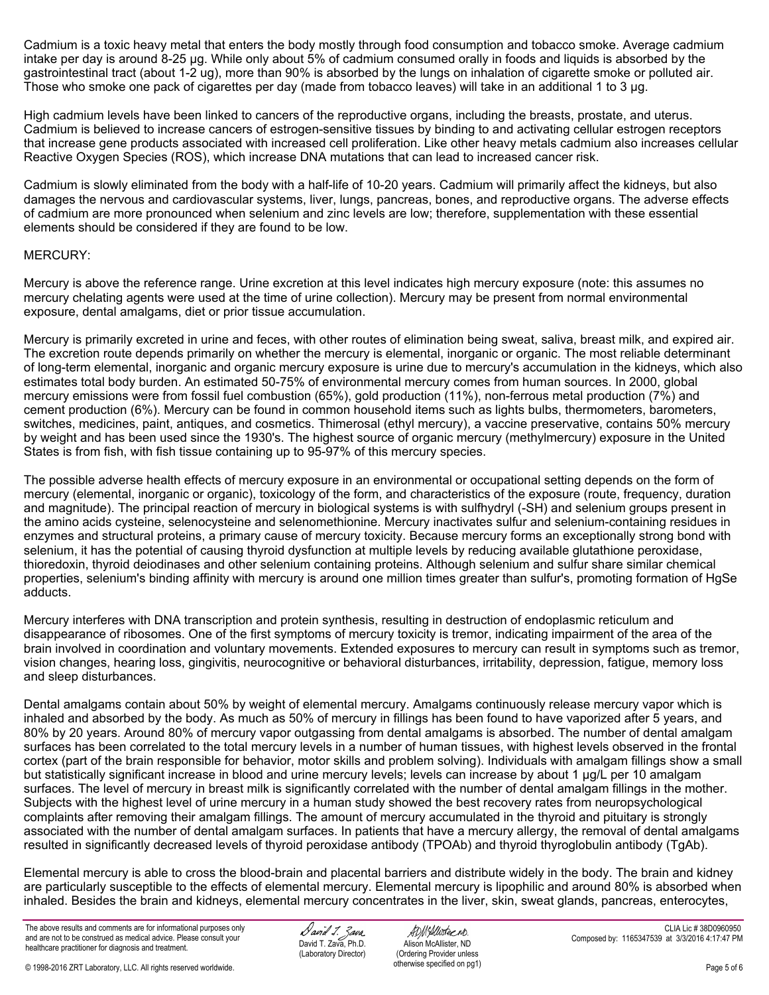Cadmium is a toxic heavy metal that enters the body mostly through food consumption and tobacco smoke. Average cadmium intake per day is around 8-25 µg. While only about 5% of cadmium consumed orally in foods and liquids is absorbed by the gastrointestinal tract (about 1-2 ug), more than 90% is absorbed by the lungs on inhalation of cigarette smoke or polluted air. Those who smoke one pack of cigarettes per day (made from tobacco leaves) will take in an additional 1 to 3 µg.

High cadmium levels have been linked to cancers of the reproductive organs, including the breasts, prostate, and uterus. Cadmium is believed to increase cancers of estrogen-sensitive tissues by binding to and activating cellular estrogen receptors that increase gene products associated with increased cell proliferation. Like other heavy metals cadmium also increases cellular Reactive Oxygen Species (ROS), which increase DNA mutations that can lead to increased cancer risk.

Cadmium is slowly eliminated from the body with a half-life of 10-20 years. Cadmium will primarily affect the kidneys, but also damages the nervous and cardiovascular systems, liver, lungs, pancreas, bones, and reproductive organs. The adverse effects of cadmium are more pronounced when selenium and zinc levels are low; therefore, supplementation with these essential elements should be considered if they are found to be low.

# MERCURY:

Mercury is above the reference range. Urine excretion at this level indicates high mercury exposure (note: this assumes no mercury chelating agents were used at the time of urine collection). Mercury may be present from normal environmental exposure, dental amalgams, diet or prior tissue accumulation.

Mercury is primarily excreted in urine and feces, with other routes of elimination being sweat, saliva, breast milk, and expired air. The excretion route depends primarily on whether the mercury is elemental, inorganic or organic. The most reliable determinant of long-term elemental, inorganic and organic mercury exposure is urine due to mercury's accumulation in the kidneys, which also estimates total body burden. An estimated 50-75% of environmental mercury comes from human sources. In 2000, global mercury emissions were from fossil fuel combustion (65%), gold production (11%), non-ferrous metal production (7%) and cement production (6%). Mercury can be found in common household items such as lights bulbs, thermometers, barometers, switches, medicines, paint, antiques, and cosmetics. Thimerosal (ethyl mercury), a vaccine preservative, contains 50% mercury by weight and has been used since the 1930's. The highest source of organic mercury (methylmercury) exposure in the United States is from fish, with fish tissue containing up to 95-97% of this mercury species.

The possible adverse health effects of mercury exposure in an environmental or occupational setting depends on the form of mercury (elemental, inorganic or organic), toxicology of the form, and characteristics of the exposure (route, frequency, duration and magnitude). The principal reaction of mercury in biological systems is with sulfhydryl (-SH) and selenium groups present in the amino acids cysteine, selenocysteine and selenomethionine. Mercury inactivates sulfur and selenium-containing residues in enzymes and structural proteins, a primary cause of mercury toxicity. Because mercury forms an exceptionally strong bond with selenium, it has the potential of causing thyroid dysfunction at multiple levels by reducing available glutathione peroxidase, thioredoxin, thyroid deiodinases and other selenium containing proteins. Although selenium and sulfur share similar chemical properties, selenium's binding affinity with mercury is around one million times greater than sulfur's, promoting formation of HgSe adducts.

Mercury interferes with DNA transcription and protein synthesis, resulting in destruction of endoplasmic reticulum and disappearance of ribosomes. One of the first symptoms of mercury toxicity is tremor, indicating impairment of the area of the brain involved in coordination and voluntary movements. Extended exposures to mercury can result in symptoms such as tremor, vision changes, hearing loss, gingivitis, neurocognitive or behavioral disturbances, irritability, depression, fatigue, memory loss and sleep disturbances.

Dental amalgams contain about 50% by weight of elemental mercury. Amalgams continuously release mercury vapor which is inhaled and absorbed by the body. As much as 50% of mercury in fillings has been found to have vaporized after 5 years, and 80% by 20 years. Around 80% of mercury vapor outgassing from dental amalgams is absorbed. The number of dental amalgam surfaces has been correlated to the total mercury levels in a number of human tissues, with highest levels observed in the frontal cortex (part of the brain responsible for behavior, motor skills and problem solving). Individuals with amalgam fillings show a small but statistically significant increase in blood and urine mercury levels; levels can increase by about 1 µg/L per 10 amalgam surfaces. The level of mercury in breast milk is significantly correlated with the number of dental amalgam fillings in the mother. Subjects with the highest level of urine mercury in a human study showed the best recovery rates from neuropsychological complaints after removing their amalgam fillings. The amount of mercury accumulated in the thyroid and pituitary is strongly associated with the number of dental amalgam surfaces. In patients that have a mercury allergy, the removal of dental amalgams resulted in significantly decreased levels of thyroid peroxidase antibody (TPOAb) and thyroid thyroglobulin antibody (TgAb).

Elemental mercury is able to cross the blood-brain and placental barriers and distribute widely in the body. The brain and kidney are particularly susceptible to the effects of elemental mercury. Elemental mercury is lipophilic and around 80% is absorbed when inhaled. Besides the brain and kidneys, elemental mercury concentrates in the liver, skin, sweat glands, pancreas, enterocytes,